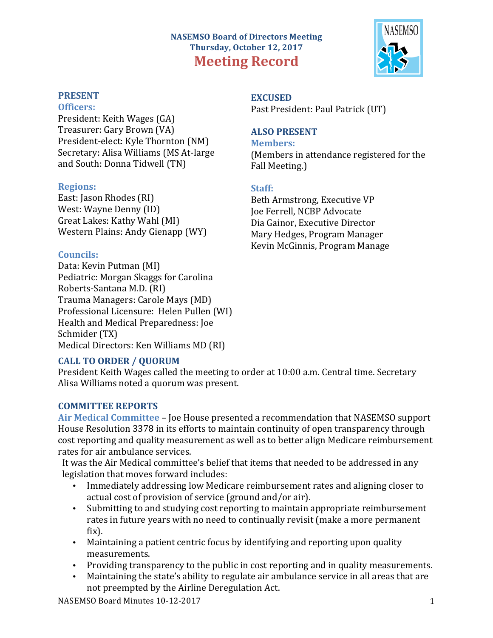# **NASEMSO Board of Directors Meeting Thursday, October 12, 2017 Meeting Record**



#### **PRESENT**

#### **Officers:**

President: Keith Wages (GA) Treasurer: Gary Brown (VA) President-elect: Kyle Thornton (NM) Secretary: Alisa Williams (MS At-large and South: Donna Tidwell (TN)

#### **Regions:**

East: Jason Rhodes (RI) West: Wayne Denny (ID) Great Lakes: Kathy Wahl (MI) Western Plains: Andy Gienapp (WY)

#### **Councils:**

Data: Kevin Putman (MI) Pediatric: Morgan Skaggs for Carolina Roberts-Santana M.D. (RI) Trauma Managers: Carole Mays (MD) Professional Licensure: Helen Pullen (WI) Health and Medical Preparedness: Joe Schmider (TX) Medical Directors: Ken Williams MD (RI)

# **EXCUSED** Past President: Paul Patrick (UT)

## **ALSO PRESENT**

**Members:** (Members in attendance registered for the Fall Meeting.)

## **Staff:**

Beth Armstrong, Executive VP Joe Ferrell, NCBP Advocate Dia Gainor, Executive Director Mary Hedges, Program Manager Kevin McGinnis, Program Manage

## **CALL TO ORDER / QUORUM**

President Keith Wages called the meeting to order at 10:00 a.m. Central time. Secretary Alisa Williams noted a quorum was present.

## **COMMITTEE REPORTS**

Air Medical Committee – Joe House presented a recommendation that NASEMSO support House Resolution 3378 in its efforts to maintain continuity of open transparency through cost reporting and quality measurement as well as to better align Medicare reimbursement rates for air ambulance services.

It was the Air Medical committee's belief that items that needed to be addressed in any legislation that moves forward includes:

- Immediately addressing low Medicare reimbursement rates and aligning closer to actual cost of provision of service (ground and/or air).
- Submitting to and studying cost reporting to maintain appropriate reimbursement rates in future years with no need to continually revisit (make a more permanent fix).
- Maintaining a patient centric focus by identifying and reporting upon quality measurements.
- Providing transparency to the public in cost reporting and in quality measurements.
- Maintaining the state's ability to regulate air ambulance service in all areas that are not preempted by the Airline Deregulation Act.

NASEMSO Board Minutes 10-12-2017 1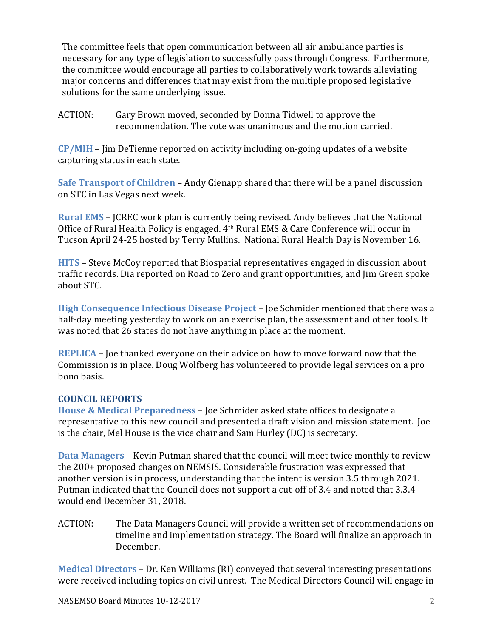The committee feels that open communication between all air ambulance parties is necessary for any type of legislation to successfully pass through Congress. Furthermore, the committee would encourage all parties to collaboratively work towards alleviating major concerns and differences that may exist from the multiple proposed legislative solutions for the same underlying issue.

ACTION: Gary Brown moved, seconded by Donna Tidwell to approve the recommendation. The vote was unanimous and the motion carried.

**CP/MIH** – Jim DeTienne reported on activity including on-going updates of a website capturing status in each state.

**Safe Transport of Children** – Andy Gienapp shared that there will be a panel discussion on STC in Las Vegas next week.

**Rural EMS** – JCREC work plan is currently being revised. Andy believes that the National Office of Rural Health Policy is engaged.  $4<sup>th</sup>$  Rural EMS & Care Conference will occur in Tucson April 24-25 hosted by Terry Mullins. National Rural Health Day is November 16.

**HITS** – Steve McCoy reported that Biospatial representatives engaged in discussion about traffic records. Dia reported on Road to Zero and grant opportunities, and Jim Green spoke about STC.

**High Consequence Infectious Disease Project – Joe Schmider mentioned that there was a** half-day meeting yesterday to work on an exercise plan, the assessment and other tools. It was noted that 26 states do not have anything in place at the moment.

**REPLICA** – Joe thanked everyone on their advice on how to move forward now that the Commission is in place. Doug Wolfberg has volunteered to provide legal services on a pro bono basis.

## **COUNCIL REPORTS**

**House & Medical Preparedness** – Joe Schmider asked state offices to designate a representative to this new council and presented a draft vision and mission statement. Joe is the chair, Mel House is the vice chair and Sam Hurley (DC) is secretary.

**Data Managers** – Kevin Putman shared that the council will meet twice monthly to review the 200+ proposed changes on NEMSIS. Considerable frustration was expressed that another version is in process, understanding that the intent is version 3.5 through 2021. Putman indicated that the Council does not support a cut-off of 3.4 and noted that 3.3.4 would end December 31, 2018.

ACTION: The Data Managers Council will provide a written set of recommendations on timeline and implementation strategy. The Board will finalize an approach in December.

**Medical Directors** – Dr. Ken Williams (RI) conveyed that several interesting presentations were received including topics on civil unrest. The Medical Directors Council will engage in